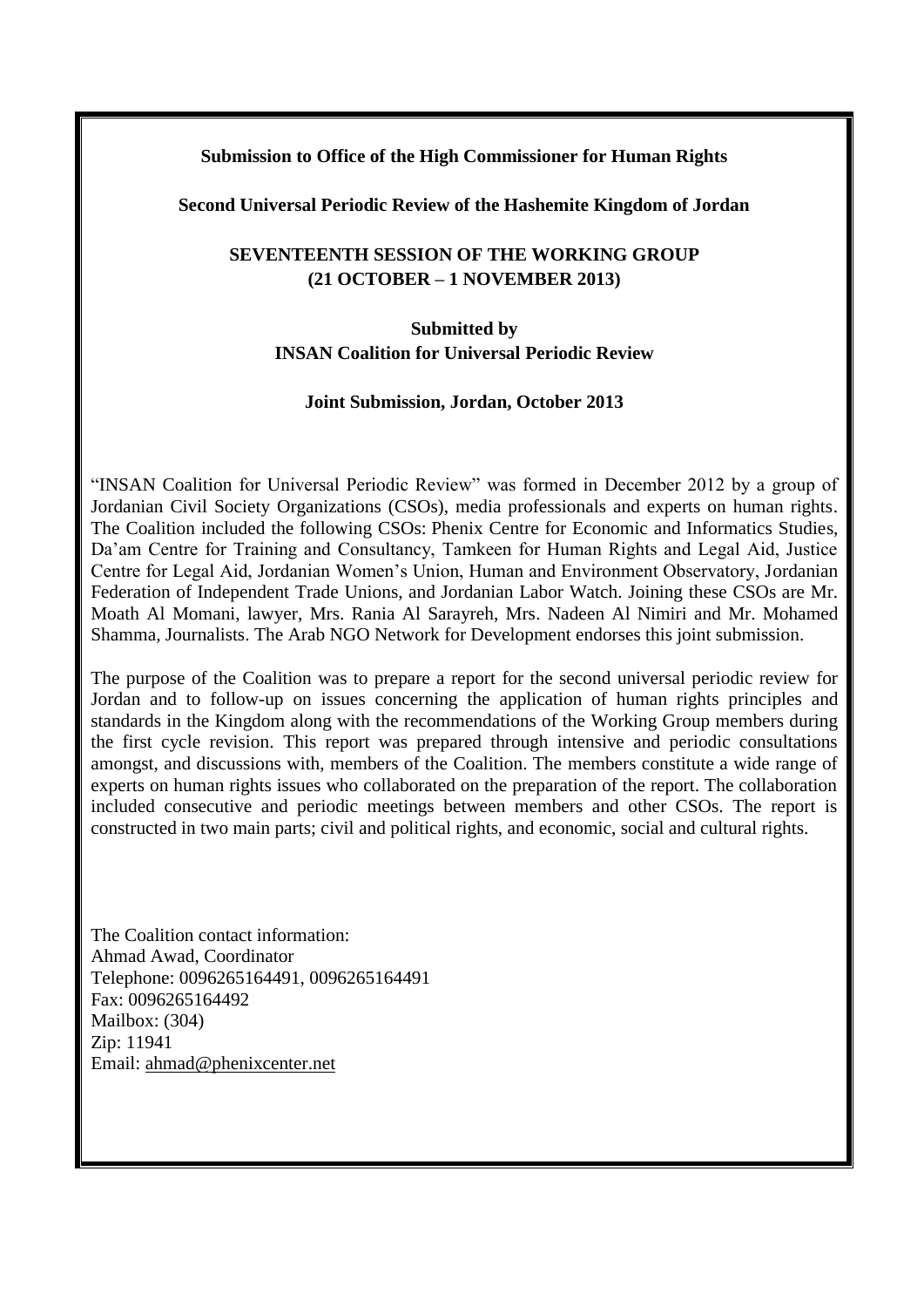### **Submission to Office of the High Commissioner for Human Rights**

#### **Second Universal Periodic Review of the Hashemite Kingdom of Jordan**

# **SEVENTEENTH SESSION OF THE WORKING GROUP (21 OCTOBER – 1 NOVEMBER 2013)**

# **Submitted by INSAN Coalition for Universal Periodic Review**

#### **Joint Submission, Jordan, October 2013**

"INSAN Coalition for Universal Periodic Review" was formed in December 2012 by a group of Jordanian Civil Society Organizations (CSOs), media professionals and experts on human rights. The Coalition included the following CSOs: Phenix Centre for Economic and Informatics Studies, Da'am Centre for Training and Consultancy, Tamkeen for Human Rights and Legal Aid, Justice Centre for Legal Aid, Jordanian Women's Union, Human and Environment Observatory, Jordanian Federation of Independent Trade Unions, and Jordanian Labor Watch. Joining these CSOs are Mr. Moath Al Momani, lawyer, Mrs. Rania Al Sarayreh, Mrs. Nadeen Al Nimiri and Mr. Mohamed Shamma, Journalists. The Arab NGO Network for Development endorses this joint submission.

The purpose of the Coalition was to prepare a report for the second universal periodic review for Jordan and to follow-up on issues concerning the application of human rights principles and standards in the Kingdom along with the recommendations of the Working Group members during the first cycle revision. This report was prepared through intensive and periodic consultations amongst, and discussions with, members of the Coalition. The members constitute a wide range of experts on human rights issues who collaborated on the preparation of the report. The collaboration included consecutive and periodic meetings between members and other CSOs. The report is constructed in two main parts; civil and political rights, and economic, social and cultural rights.

The Coalition contact information: Ahmad Awad, Coordinator Telephone: 0096265164491, 0096265164491 Fax: 0096265164492 Mailbox: (304) Zip: 11941 Email: [ahmad@phenixcenter.net](mailto:ahmad@phenixcenter.net)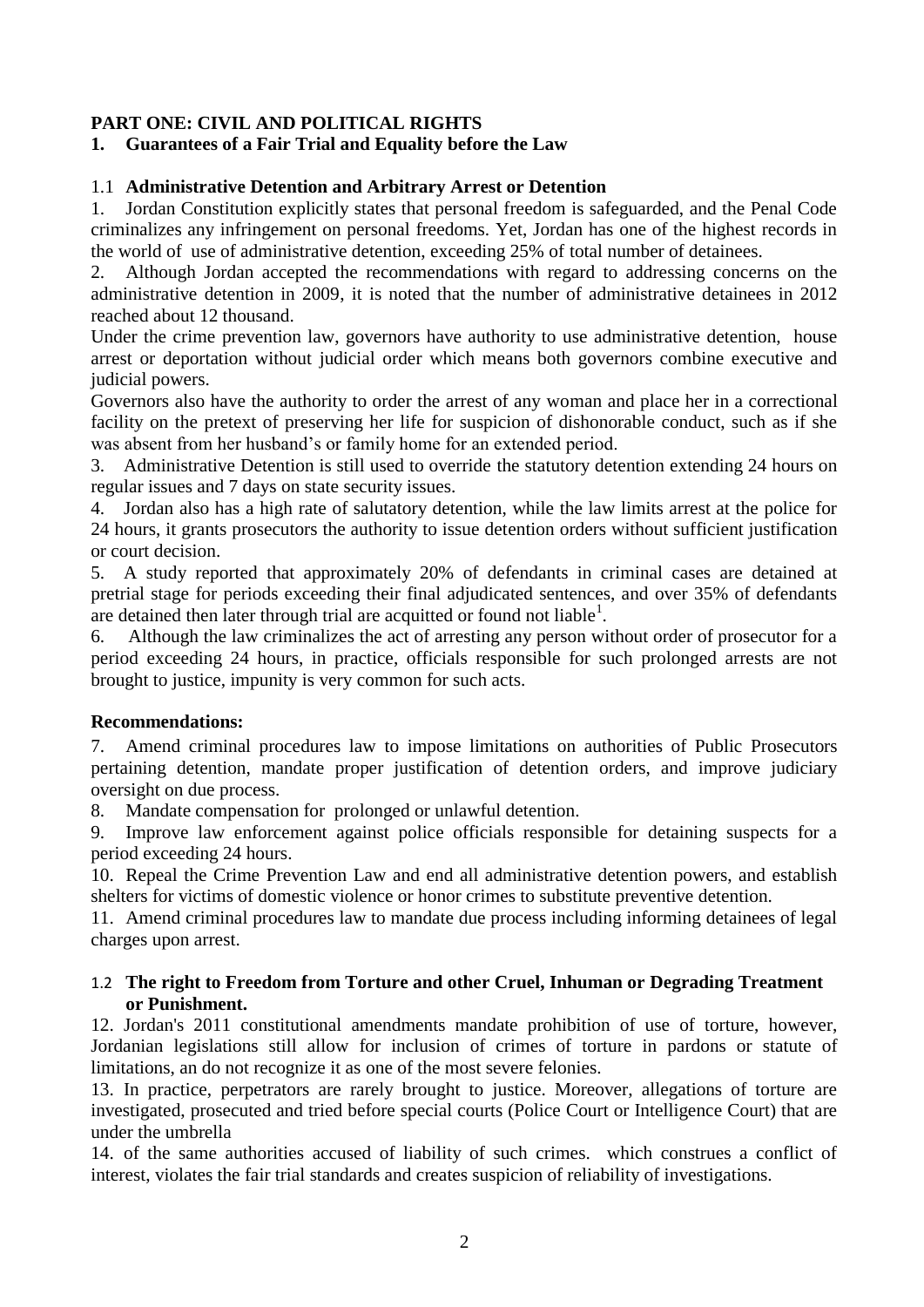# **PART ONE: CIVIL AND POLITICAL RIGHTS**

# **1. Guarantees of a Fair Trial and Equality before the Law**

# 1.1 **Administrative Detention and Arbitrary Arrest or Detention**

1. Jordan Constitution explicitly states that personal freedom is safeguarded, and the Penal Code criminalizes any infringement on personal freedoms. Yet, Jordan has one of the highest records in the world of use of administrative detention, exceeding 25% of total number of detainees.

2. Although Jordan accepted the recommendations with regard to addressing concerns on the administrative detention in 2009, it is noted that the number of administrative detainees in 2012 reached about 12 thousand.

Under the crime prevention law, governors have authority to use administrative detention, house arrest or deportation without judicial order which means both governors combine executive and judicial powers.

Governors also have the authority to order the arrest of any woman and place her in a correctional facility on the pretext of preserving her life for suspicion of dishonorable conduct, such as if she was absent from her husband's or family home for an extended period.

3. Administrative Detention is still used to override the statutory detention extending 24 hours on regular issues and 7 days on state security issues.

4. Jordan also has a high rate of salutatory detention, while the law limits arrest at the police for 24 hours, it grants prosecutors the authority to issue detention orders without sufficient justification or court decision.

5. A study reported that approximately 20% of defendants in criminal cases are detained at pretrial stage for periods exceeding their final adjudicated sentences, and over 35% of defendants are detained then later through trial are acquitted or found not liable<sup>1</sup>.

6. Although the law criminalizes the act of arresting any person without order of prosecutor for a period exceeding 24 hours, in practice, officials responsible for such prolonged arrests are not brought to justice, impunity is very common for such acts.

# **Recommendations:**

7. Amend criminal procedures law to impose limitations on authorities of Public Prosecutors pertaining detention, mandate proper justification of detention orders, and improve judiciary oversight on due process.

8. Mandate compensation for prolonged or unlawful detention.

9. Improve law enforcement against police officials responsible for detaining suspects for a period exceeding 24 hours.

10. Repeal the Crime Prevention Law and end all administrative detention powers, and establish shelters for victims of domestic violence or honor crimes to substitute preventive detention.

11. Amend criminal procedures law to mandate due process including informing detainees of legal charges upon arrest.

### 1.2 **The right to Freedom from Torture and other Cruel, Inhuman or Degrading Treatment or Punishment.**

12. Jordan's 2011 constitutional amendments mandate prohibition of use of torture, however, Jordanian legislations still allow for inclusion of crimes of torture in pardons or statute of limitations, an do not recognize it as one of the most severe felonies.

13. In practice, perpetrators are rarely brought to justice. Moreover, allegations of torture are investigated, prosecuted and tried before special courts (Police Court or Intelligence Court) that are under the umbrella

14. of the same authorities accused of liability of such crimes. which construes a conflict of interest, violates the fair trial standards and creates suspicion of reliability of investigations.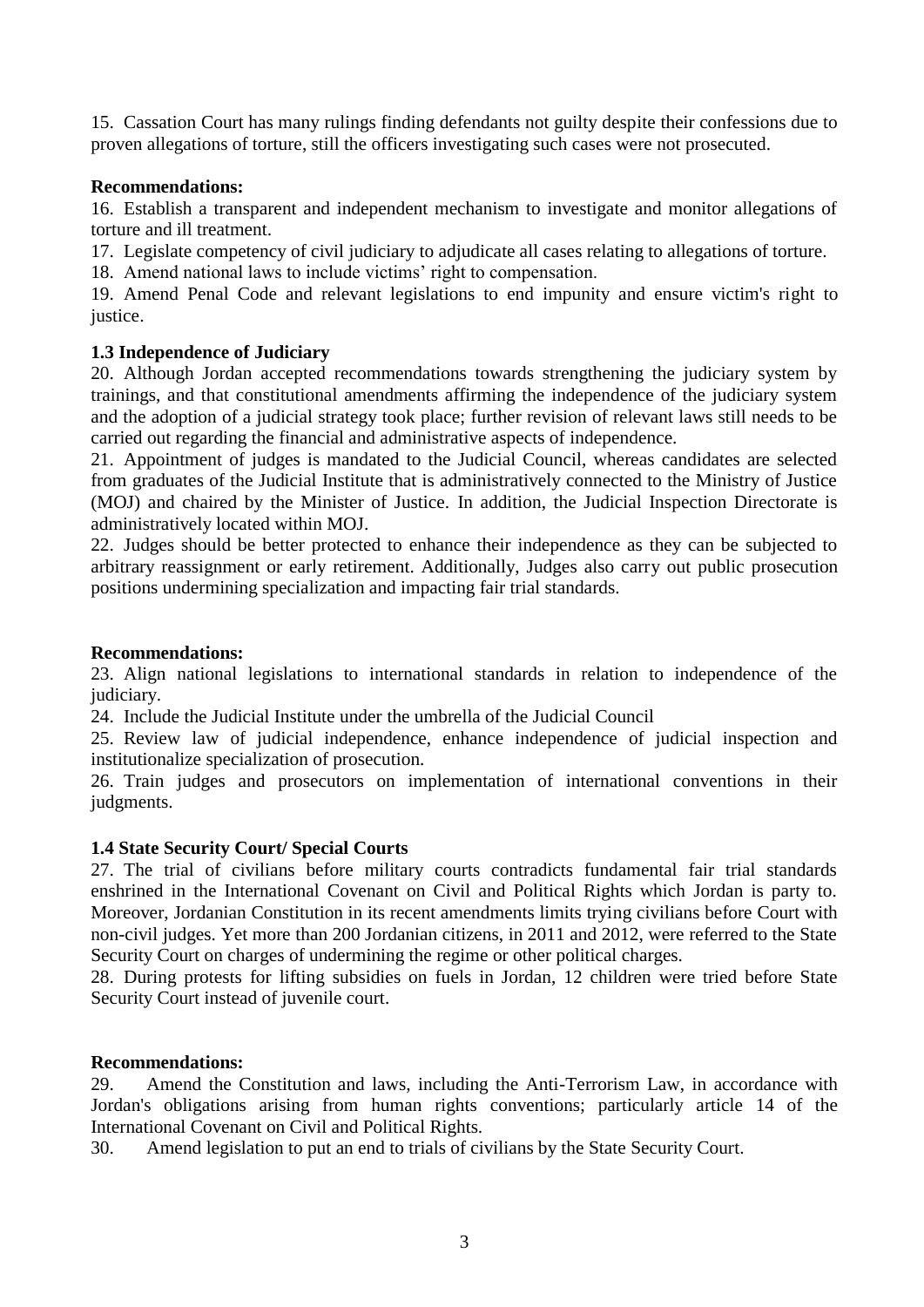15. Cassation Court has many rulings finding defendants not guilty despite their confessions due to proven allegations of torture, still the officers investigating such cases were not prosecuted.

### **Recommendations:**

16. Establish a transparent and independent mechanism to investigate and monitor allegations of torture and ill treatment.

17. Legislate competency of civil judiciary to adjudicate all cases relating to allegations of torture.

18. Amend national laws to include victims' right to compensation.

19. Amend Penal Code and relevant legislations to end impunity and ensure victim's right to justice.

# **1.3 Independence of Judiciary**

20. Although Jordan accepted recommendations towards strengthening the judiciary system by trainings, and that constitutional amendments affirming the independence of the judiciary system and the adoption of a judicial strategy took place; further revision of relevant laws still needs to be carried out regarding the financial and administrative aspects of independence.

21. Appointment of judges is mandated to the Judicial Council, whereas candidates are selected from graduates of the Judicial Institute that is administratively connected to the Ministry of Justice (MOJ) and chaired by the Minister of Justice. In addition, the Judicial Inspection Directorate is administratively located within MOJ.

22. Judges should be better protected to enhance their independence as they can be subjected to arbitrary reassignment or early retirement. Additionally, Judges also carry out public prosecution positions undermining specialization and impacting fair trial standards.

### **Recommendations:**

23. Align national legislations to international standards in relation to independence of the judiciary.

24. Include the Judicial Institute under the umbrella of the Judicial Council

25. Review law of judicial independence, enhance independence of judicial inspection and institutionalize specialization of prosecution.

26. Train judges and prosecutors on implementation of international conventions in their judgments.

# **1.4 State Security Court/ Special Courts**

27. The trial of civilians before military courts contradicts fundamental fair trial standards enshrined in the International Covenant on Civil and Political Rights which Jordan is party to. Moreover, Jordanian Constitution in its recent amendments limits trying civilians before Court with non-civil judges. Yet more than 200 Jordanian citizens, in 2011 and 2012, were referred to the State Security Court on charges of undermining the regime or other political charges.

28. During protests for lifting subsidies on fuels in Jordan, 12 children were tried before State Security Court instead of juvenile court.

### **Recommendations:**

29. Amend the Constitution and laws, including the Anti-Terrorism Law, in accordance with Jordan's obligations arising from human rights conventions; particularly article 14 of the International Covenant on Civil and Political Rights.

30. Amend legislation to put an end to trials of civilians by the State Security Court.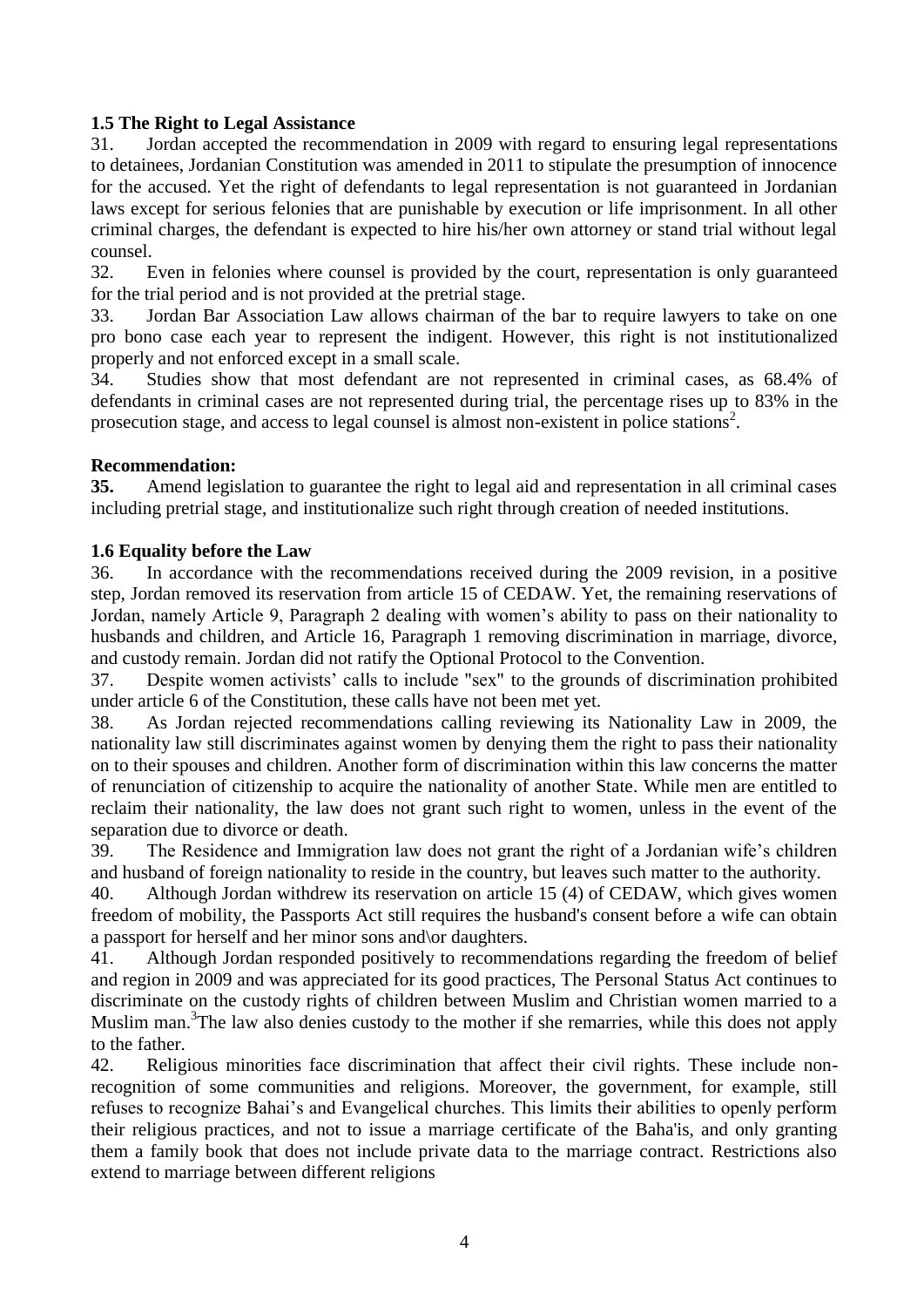### **1.5 The Right to Legal Assistance**

31. Jordan accepted the recommendation in 2009 with regard to ensuring legal representations to detainees, Jordanian Constitution was amended in 2011 to stipulate the presumption of innocence for the accused. Yet the right of defendants to legal representation is not guaranteed in Jordanian laws except for serious felonies that are punishable by execution or life imprisonment. In all other criminal charges, the defendant is expected to hire his/her own attorney or stand trial without legal counsel.

32. Even in felonies where counsel is provided by the court, representation is only guaranteed for the trial period and is not provided at the pretrial stage.

33. Jordan Bar Association Law allows chairman of the bar to require lawyers to take on one pro bono case each year to represent the indigent. However, this right is not institutionalized properly and not enforced except in a small scale.

34. Studies show that most defendant are not represented in criminal cases, as 68.4% of defendants in criminal cases are not represented during trial, the percentage rises up to 83% in the prosecution stage, and access to legal counsel is almost non-existent in police stations<sup>2</sup>.

### **Recommendation:**

**35.** Amend legislation to guarantee the right to legal aid and representation in all criminal cases including pretrial stage, and institutionalize such right through creation of needed institutions.

### **1.6 Equality before the Law**

36. In accordance with the recommendations received during the 2009 revision, in a positive step, Jordan removed its reservation from article 15 of CEDAW. Yet, the remaining reservations of Jordan, namely Article 9, Paragraph 2 dealing with women's ability to pass on their nationality to husbands and children, and Article 16, Paragraph 1 removing discrimination in marriage, divorce, and custody remain. Jordan did not ratify the Optional Protocol to the Convention.

37. Despite women activists' calls to include "sex" to the grounds of discrimination prohibited under article 6 of the Constitution, these calls have not been met yet.

38. As Jordan rejected recommendations calling reviewing its Nationality Law in 2009, the nationality law still discriminates against women by denying them the right to pass their nationality on to their spouses and children. Another form of discrimination within this law concerns the matter of renunciation of citizenship to acquire the nationality of another State. While men are entitled to reclaim their nationality, the law does not grant such right to women, unless in the event of the separation due to divorce or death.

39. The Residence and Immigration law does not grant the right of a Jordanian wife's children and husband of foreign nationality to reside in the country, but leaves such matter to the authority.

40. Although Jordan withdrew its reservation on article 15 (4) of CEDAW, which gives women freedom of mobility, the Passports Act still requires the husband's consent before a wife can obtain a passport for herself and her minor sons and\or daughters.

41. Although Jordan responded positively to recommendations regarding the freedom of belief and region in 2009 and was appreciated for its good practices, The Personal Status Act continues to discriminate on the custody rights of children between Muslim and Christian women married to a Muslim man.<sup>3</sup>The law also denies custody to the mother if she remarries, while this does not apply to the father.

42. Religious minorities face discrimination that affect their civil rights. These include nonrecognition of some communities and religions. Moreover, the government, for example, still refuses to recognize Bahai's and Evangelical churches. This limits their abilities to openly perform their religious practices, and not to issue a marriage certificate of the Baha'is, and only granting them a family book that does not include private data to the marriage contract. Restrictions also extend to marriage between different religions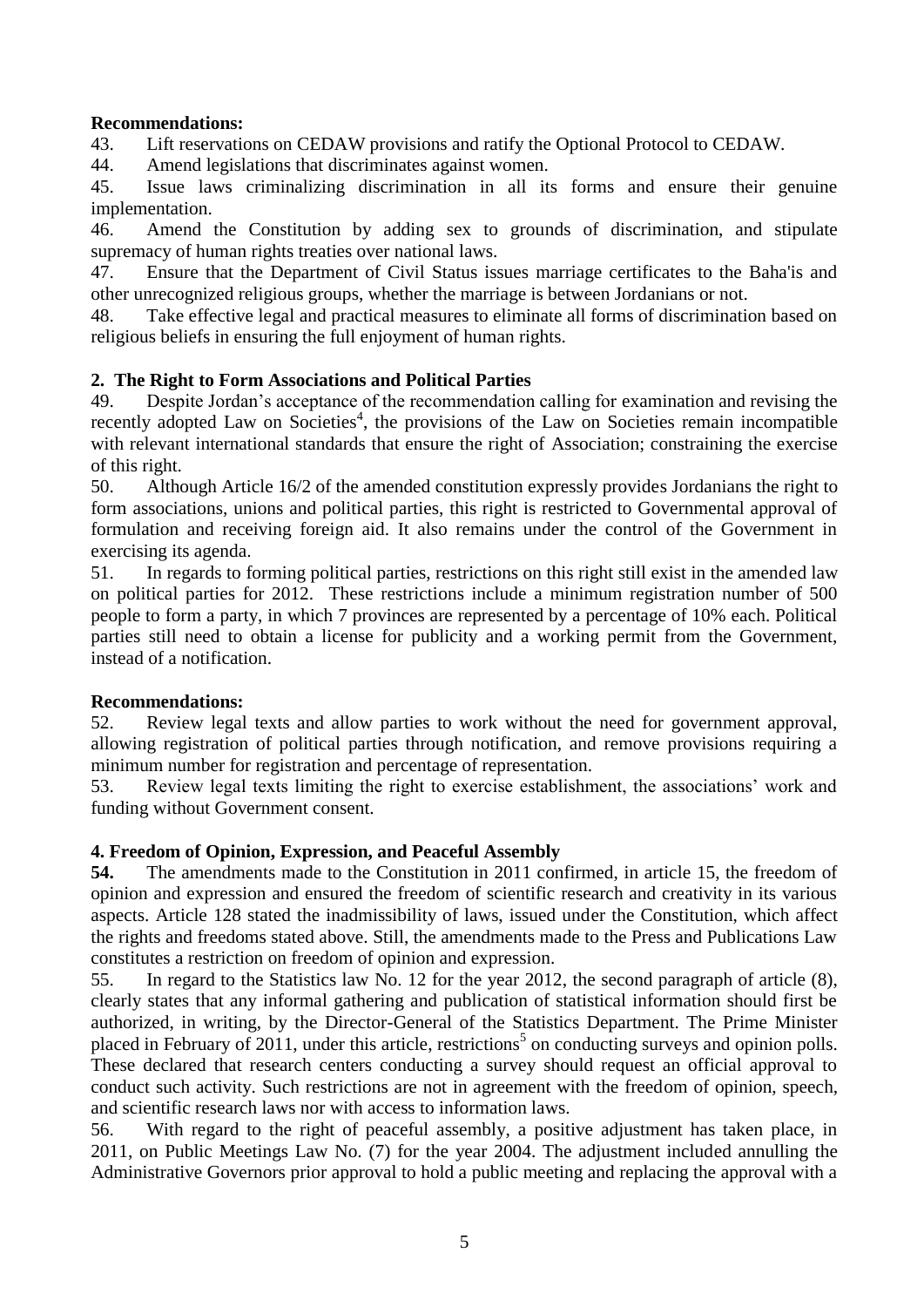### **Recommendations:**

43. Lift reservations on CEDAW provisions and ratify the Optional Protocol to CEDAW.

44. Amend legislations that discriminates against women.

45. Issue laws criminalizing discrimination in all its forms and ensure their genuine implementation.

46. Amend the Constitution by adding sex to grounds of discrimination, and stipulate supremacy of human rights treaties over national laws.

47. Ensure that the Department of Civil Status issues marriage certificates to the Baha'is and other unrecognized religious groups, whether the marriage is between Jordanians or not.

48. Take effective legal and practical measures to eliminate all forms of discrimination based on religious beliefs in ensuring the full enjoyment of human rights.

# **2. The Right to Form Associations and Political Parties**

49. Despite Jordan's acceptance of the recommendation calling for examination and revising the recently adopted Law on Societies<sup>4</sup>, the provisions of the Law on Societies remain incompatible with relevant international standards that ensure the right of Association; constraining the exercise of this right.

50. Although Article 16/2 of the amended constitution expressly provides Jordanians the right to form associations, unions and political parties, this right is restricted to Governmental approval of formulation and receiving foreign aid. It also remains under the control of the Government in exercising its agenda.

51. In regards to forming political parties, restrictions on this right still exist in the amended law on political parties for 2012. These restrictions include a minimum registration number of 500 people to form a party, in which 7 provinces are represented by a percentage of 10% each. Political parties still need to obtain a license for publicity and a working permit from the Government, instead of a notification.

# **Recommendations:**

52. Review legal texts and allow parties to work without the need for government approval, allowing registration of political parties through notification, and remove provisions requiring a minimum number for registration and percentage of representation.

53. Review legal texts limiting the right to exercise establishment, the associations' work and funding without Government consent.

# **4. Freedom of Opinion, Expression, and Peaceful Assembly**

**54.** The amendments made to the Constitution in 2011 confirmed, in article 15, the freedom of opinion and expression and ensured the freedom of scientific research and creativity in its various aspects. Article 128 stated the inadmissibility of laws, issued under the Constitution, which affect the rights and freedoms stated above. Still, the amendments made to the Press and Publications Law constitutes a restriction on freedom of opinion and expression.

55. In regard to the Statistics law No. 12 for the year 2012, the second paragraph of article (8), clearly states that any informal gathering and publication of statistical information should first be authorized, in writing, by the Director-General of the Statistics Department. The Prime Minister placed in February of 2011, under this article, restrictions<sup>5</sup> on conducting surveys and opinion polls. These declared that research centers conducting a survey should request an official approval to conduct such activity. Such restrictions are not in agreement with the freedom of opinion, speech, and scientific research laws nor with access to information laws.

56. With regard to the right of peaceful assembly, a positive adjustment has taken place, in 2011, on Public Meetings Law No. (7) for the year 2004. The adjustment included annulling the Administrative Governors prior approval to hold a public meeting and replacing the approval with a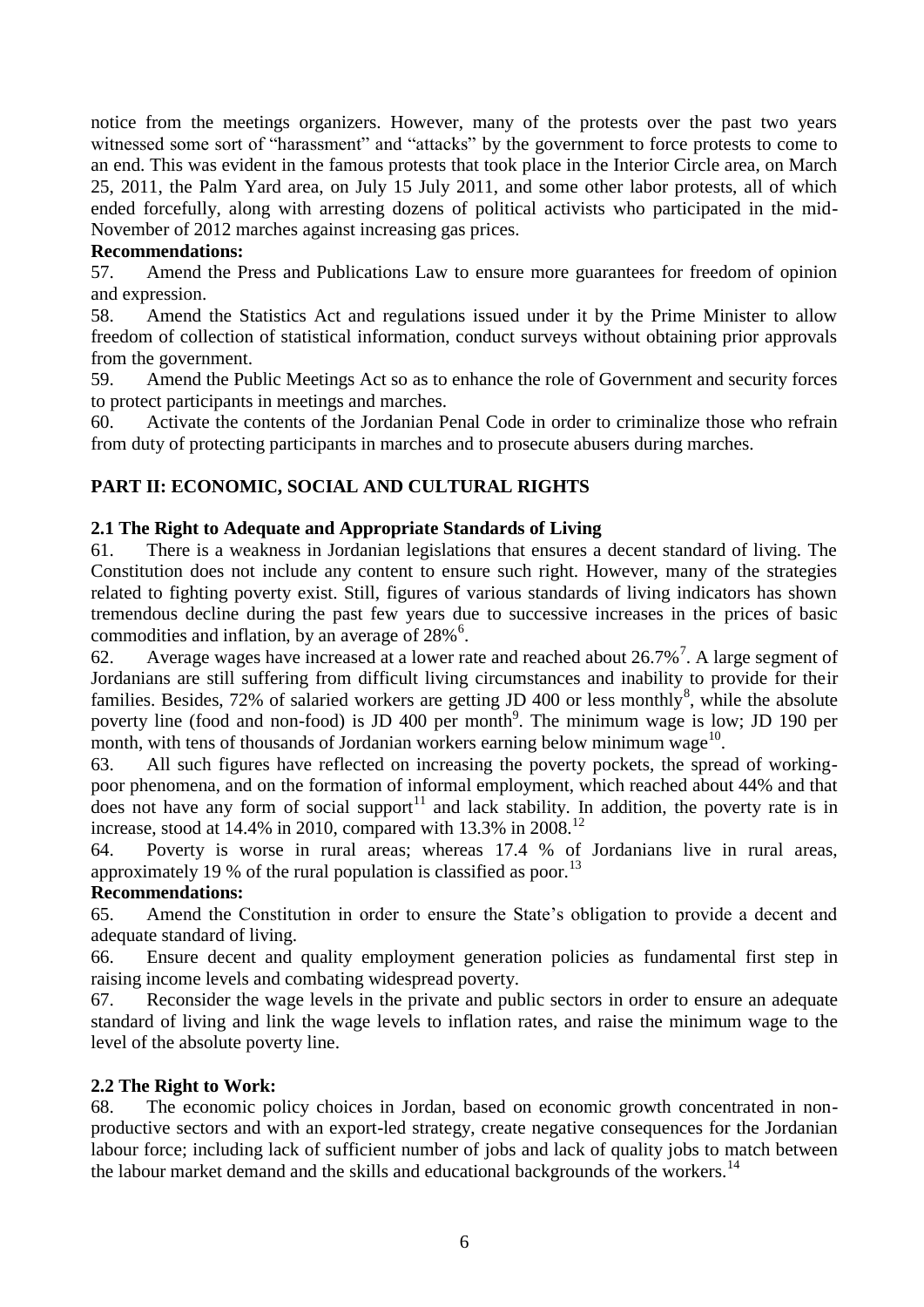notice from the meetings organizers. However, many of the protests over the past two years witnessed some sort of "harassment" and "attacks" by the government to force protests to come to an end. This was evident in the famous protests that took place in the Interior Circle area, on March 25, 2011, the Palm Yard area, on July 15 July 2011, and some other labor protests, all of which ended forcefully, along with arresting dozens of political activists who participated in the mid-November of 2012 marches against increasing gas prices.

### **Recommendations:**

57. Amend the Press and Publications Law to ensure more guarantees for freedom of opinion and expression.

58. Amend the Statistics Act and regulations issued under it by the Prime Minister to allow freedom of collection of statistical information, conduct surveys without obtaining prior approvals from the government.

59. Amend the Public Meetings Act so as to enhance the role of Government and security forces to protect participants in meetings and marches.

60. Activate the contents of the Jordanian Penal Code in order to criminalize those who refrain from duty of protecting participants in marches and to prosecute abusers during marches.

### **PART II: ECONOMIC, SOCIAL AND CULTURAL RIGHTS**

### **2.1 The Right to Adequate and Appropriate Standards of Living**

61. There is a weakness in Jordanian legislations that ensures a decent standard of living. The Constitution does not include any content to ensure such right. However, many of the strategies related to fighting poverty exist. Still, figures of various standards of living indicators has shown tremendous decline during the past few years due to successive increases in the prices of basic commodities and inflation, by an average of  $28\%$ <sup>6</sup>.

62. Average wages have increased at a lower rate and reached about 26.7%<sup>7</sup>. A large segment of Jordanians are still suffering from difficult living circumstances and inability to provide for their families. Besides,  $72\%$  of salaried workers are getting JD 400 or less monthly<sup>8</sup>, while the absolute poverty line (food and non-food) is JD 400 per month<sup>9</sup>. The minimum wage is low; JD 190 per month, with tens of thousands of Jordanian workers earning below minimum wage $^{10}$ .

63. All such figures have reflected on increasing the poverty pockets, the spread of workingpoor phenomena, and on the formation of informal employment, which reached about 44% and that does not have any form of social support<sup>11</sup> and lack stability. In addition, the poverty rate is in increase, stood at 14.4% in 2010, compared with 13.3% in 2008.<sup>12</sup>

64. Poverty is worse in rural areas; whereas 17.4 % of Jordanians live in rural areas, approximately 19 % of the rural population is classified as poor.<sup>13</sup>

### **Recommendations:**

65. Amend the Constitution in order to ensure the State's obligation to provide a decent and adequate standard of living.

66. Ensure decent and quality employment generation policies as fundamental first step in raising income levels and combating widespread poverty.

67. Reconsider the wage levels in the private and public sectors in order to ensure an adequate standard of living and link the wage levels to inflation rates, and raise the minimum wage to the level of the absolute poverty line.

#### **2.2 The Right to Work:**

68. The economic policy choices in Jordan, based on economic growth concentrated in nonproductive sectors and with an export-led strategy, create negative consequences for the Jordanian labour force; including lack of sufficient number of jobs and lack of quality jobs to match between the labour market demand and the skills and educational backgrounds of the workers.<sup>14</sup>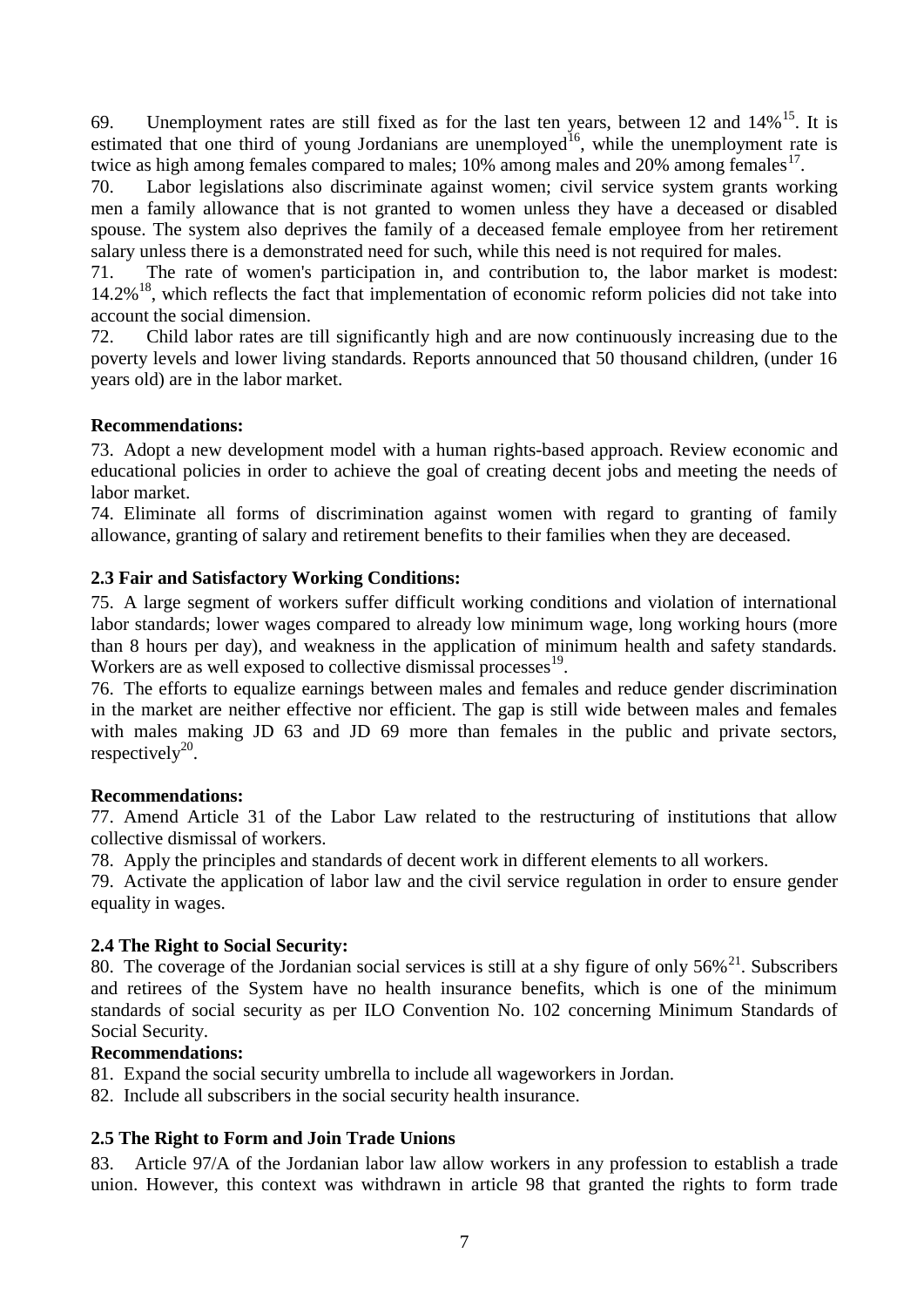69. Unemployment rates are still fixed as for the last ten years, between 12 and  $14\%$ <sup>15</sup>. It is estimated that one third of young Jordanians are unemployed<sup>16</sup>, while the unemployment rate is twice as high among females compared to males;  $10\%$  among males and  $20\%$  among females<sup>17</sup>.

70. Labor legislations also discriminate against women; civil service system grants working men a family allowance that is not granted to women unless they have a deceased or disabled spouse. The system also deprives the family of a deceased female employee from her retirement salary unless there is a demonstrated need for such, while this need is not required for males.

71. The rate of women's participation in, and contribution to, the labor market is modest: 14.2%<sup>18</sup>, which reflects the fact that implementation of economic reform policies did not take into account the social dimension.

72. Child labor rates are till significantly high and are now continuously increasing due to the poverty levels and lower living standards. Reports announced that 50 thousand children, (under 16 years old) are in the labor market.

### **Recommendations:**

73. Adopt a new development model with a human rights-based approach. Review economic and educational policies in order to achieve the goal of creating decent jobs and meeting the needs of labor market.

74. Eliminate all forms of discrimination against women with regard to granting of family allowance, granting of salary and retirement benefits to their families when they are deceased.

### **2.3 Fair and Satisfactory Working Conditions:**

75. A large segment of workers suffer difficult working conditions and violation of international labor standards; lower wages compared to already low minimum wage, long working hours (more than 8 hours per day), and weakness in the application of minimum health and safety standards. Workers are as well exposed to collective dismissal processes<sup>19</sup>.

76. The efforts to equalize earnings between males and females and reduce gender discrimination in the market are neither effective nor efficient. The gap is still wide between males and females with males making JD 63 and JD 69 more than females in the public and private sectors, respectively $^{20}$ .

### **Recommendations:**

77. Amend Article 31 of the Labor Law related to the restructuring of institutions that allow collective dismissal of workers.

78. Apply the principles and standards of decent work in different elements to all workers.

79. Activate the application of labor law and the civil service regulation in order to ensure gender equality in wages.

### **2.4 The Right to Social Security:**

80. The coverage of the Jordanian social services is still at a shy figure of only  $56\%$ <sup>21</sup>. Subscribers and retirees of the System have no health insurance benefits, which is one of the minimum standards of social security as per ILO Convention No. 102 concerning Minimum Standards of Social Security.

### **Recommendations:**

81. Expand the social security umbrella to include all wageworkers in Jordan.

82. Include all subscribers in the social security health insurance.

# **2.5 The Right to Form and Join Trade Unions**

83. Article 97/A of the Jordanian labor law allow workers in any profession to establish a trade union. However, this context was withdrawn in article 98 that granted the rights to form trade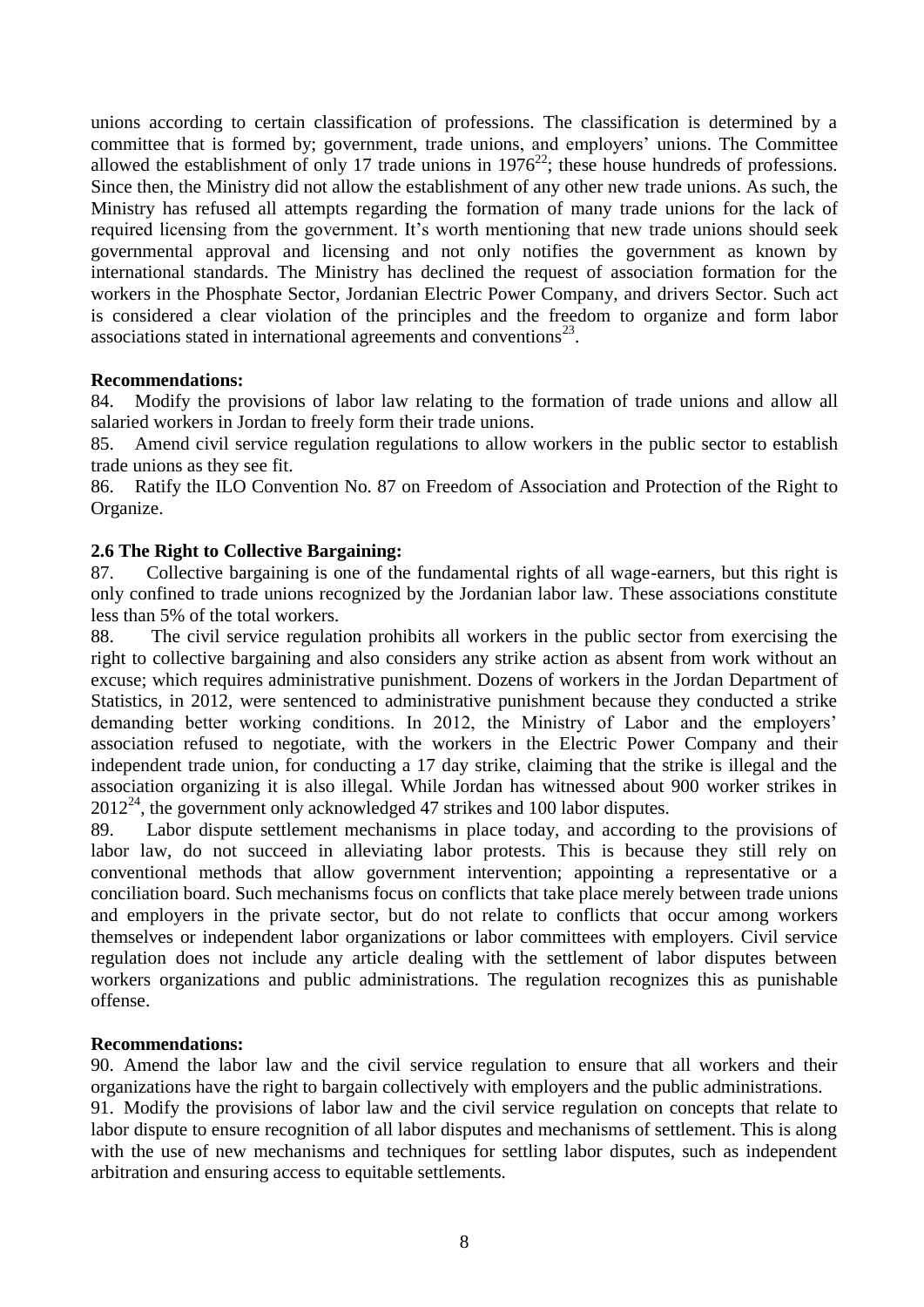unions according to certain classification of professions. The classification is determined by a committee that is formed by; government, trade unions, and employers' unions. The Committee allowed the establishment of only 17 trade unions in  $1976^{22}$ ; these house hundreds of professions. Since then, the Ministry did not allow the establishment of any other new trade unions. As such, the Ministry has refused all attempts regarding the formation of many trade unions for the lack of required licensing from the government. It's worth mentioning that new trade unions should seek governmental approval and licensing and not only notifies the government as known by international standards. The Ministry has declined the request of association formation for the workers in the Phosphate Sector, Jordanian Electric Power Company, and drivers Sector. Such act is considered a clear violation of the principles and the freedom to organize and form labor associations stated in international agreements and conventions $^{23}$ .

#### **Recommendations:**

84. Modify the provisions of labor law relating to the formation of trade unions and allow all salaried workers in Jordan to freely form their trade unions.

85. Amend civil service regulation regulations to allow workers in the public sector to establish trade unions as they see fit.

86. Ratify the ILO Convention No. 87 on Freedom of Association and Protection of the Right to Organize.

### **2.6 The Right to Collective Bargaining:**

87. Collective bargaining is one of the fundamental rights of all wage-earners, but this right is only confined to trade unions recognized by the Jordanian labor law. These associations constitute less than 5% of the total workers.

88. The civil service regulation prohibits all workers in the public sector from exercising the right to collective bargaining and also considers any strike action as absent from work without an excuse; which requires administrative punishment. Dozens of workers in the Jordan Department of Statistics, in 2012, were sentenced to administrative punishment because they conducted a strike demanding better working conditions. In 2012, the Ministry of Labor and the employers' association refused to negotiate, with the workers in the Electric Power Company and their independent trade union, for conducting a 17 day strike, claiming that the strike is illegal and the association organizing it is also illegal. While Jordan has witnessed about 900 worker strikes in 2012<sup>24</sup>, the government only acknowledged 47 strikes and 100 labor disputes.

89. Labor dispute settlement mechanisms in place today, and according to the provisions of labor law, do not succeed in alleviating labor protests. This is because they still rely on conventional methods that allow government intervention; appointing a representative or a conciliation board. Such mechanisms focus on conflicts that take place merely between trade unions and employers in the private sector, but do not relate to conflicts that occur among workers themselves or independent labor organizations or labor committees with employers. Civil service regulation does not include any article dealing with the settlement of labor disputes between workers organizations and public administrations. The regulation recognizes this as punishable offense.

### **Recommendations:**

90. Amend the labor law and the civil service regulation to ensure that all workers and their organizations have the right to bargain collectively with employers and the public administrations.

91. Modify the provisions of labor law and the civil service regulation on concepts that relate to labor dispute to ensure recognition of all labor disputes and mechanisms of settlement. This is along with the use of new mechanisms and techniques for settling labor disputes, such as independent arbitration and ensuring access to equitable settlements.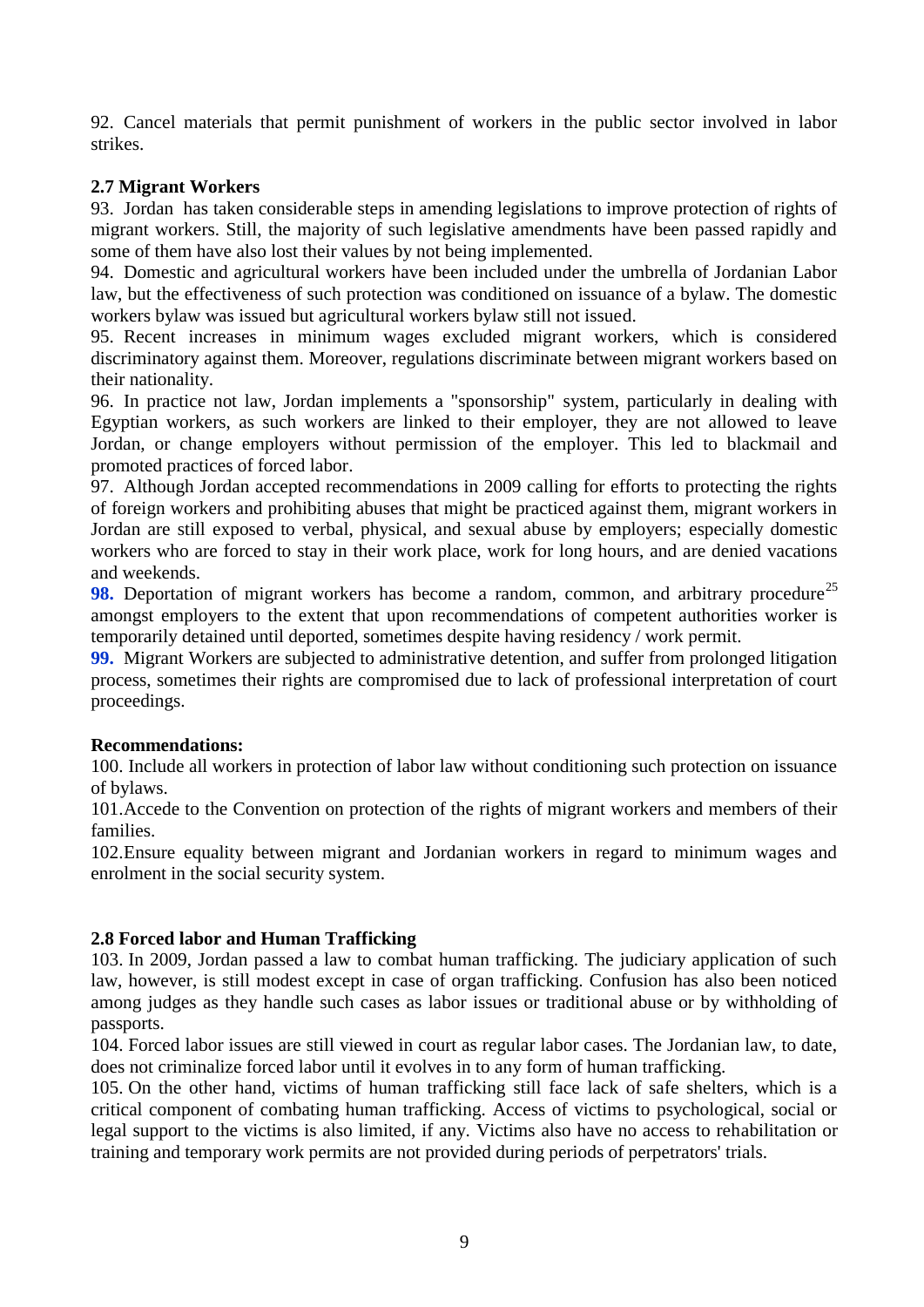92. Cancel materials that permit punishment of workers in the public sector involved in labor strikes.

# **2.7 Migrant Workers**

93. Jordan has taken considerable steps in amending legislations to improve protection of rights of migrant workers. Still, the majority of such legislative amendments have been passed rapidly and some of them have also lost their values by not being implemented.

94. Domestic and agricultural workers have been included under the umbrella of Jordanian Labor law, but the effectiveness of such protection was conditioned on issuance of a bylaw. The domestic workers bylaw was issued but agricultural workers bylaw still not issued.

95. Recent increases in minimum wages excluded migrant workers, which is considered discriminatory against them. Moreover, regulations discriminate between migrant workers based on their nationality.

96. In practice not law, Jordan implements a "sponsorship" system, particularly in dealing with Egyptian workers, as such workers are linked to their employer, they are not allowed to leave Jordan, or change employers without permission of the employer. This led to blackmail and promoted practices of forced labor.

97. Although Jordan accepted recommendations in 2009 calling for efforts to protecting the rights of foreign workers and prohibiting abuses that might be practiced against them, migrant workers in Jordan are still exposed to verbal, physical, and sexual abuse by employers; especially domestic workers who are forced to stay in their work place, work for long hours, and are denied vacations and weekends.

**98.** Deportation of migrant workers has become a random, common, and arbitrary procedure<sup>25</sup> amongst employers to the extent that upon recommendations of competent authorities worker is temporarily detained until deported, sometimes despite having residency / work permit.

**99.** Migrant Workers are subjected to administrative detention, and suffer from prolonged litigation process, sometimes their rights are compromised due to lack of professional interpretation of court proceedings.

### **Recommendations:**

100. Include all workers in protection of labor law without conditioning such protection on issuance of bylaws.

101.Accede to the Convention on protection of the rights of migrant workers and members of their families.

102.Ensure equality between migrant and Jordanian workers in regard to minimum wages and enrolment in the social security system.

# **2.8 Forced labor and Human Trafficking**

103. In 2009, Jordan passed a law to combat human trafficking. The judiciary application of such law, however, is still modest except in case of organ trafficking. Confusion has also been noticed among judges as they handle such cases as labor issues or traditional abuse or by withholding of passports.

104. Forced labor issues are still viewed in court as regular labor cases. The Jordanian law, to date, does not criminalize forced labor until it evolves in to any form of human trafficking.

105. On the other hand, victims of human trafficking still face lack of safe shelters, which is a critical component of combating human trafficking. Access of victims to psychological, social or legal support to the victims is also limited, if any. Victims also have no access to rehabilitation or training and temporary work permits are not provided during periods of perpetrators' trials.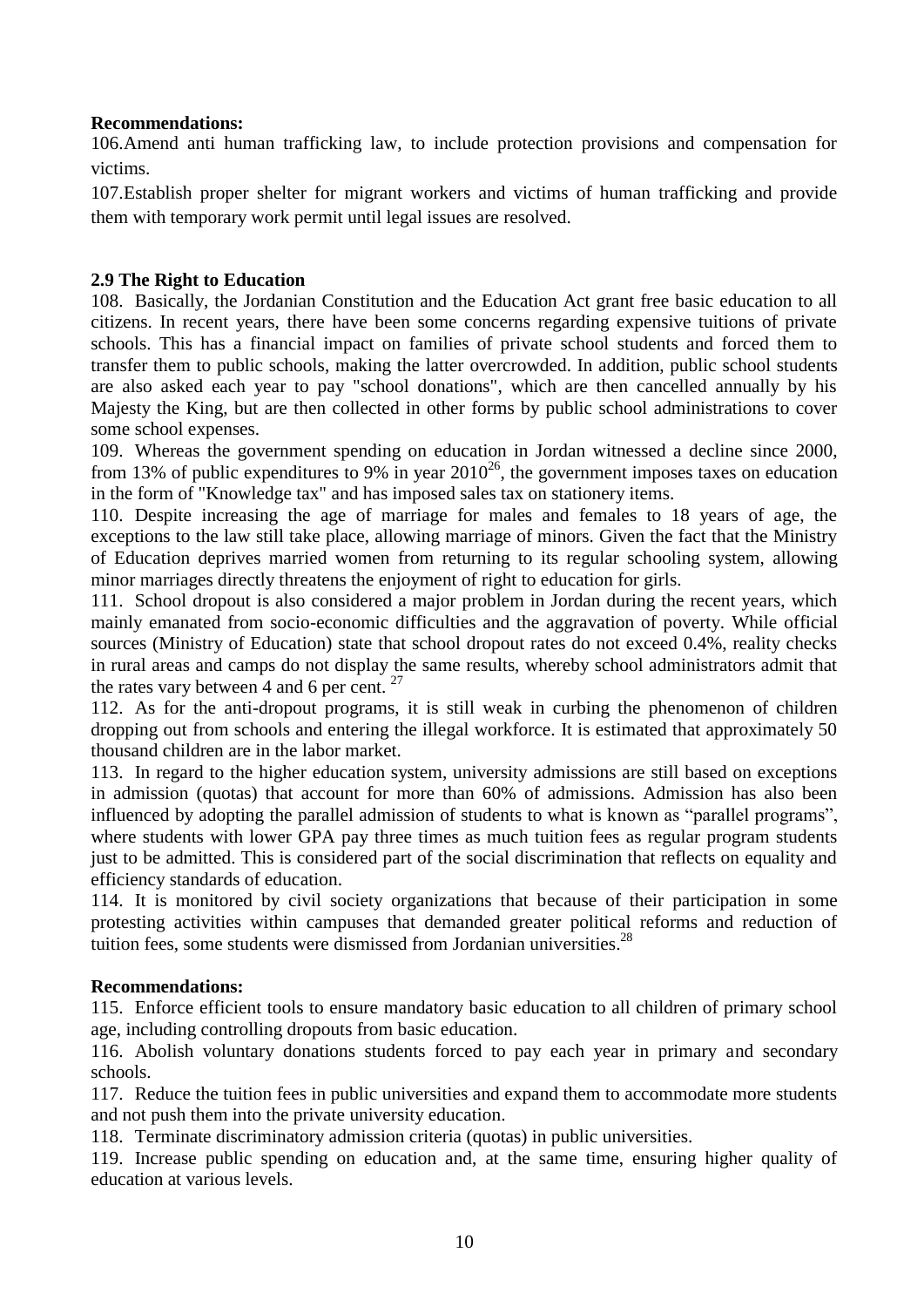### **Recommendations:**

106.Amend anti human trafficking law, to include protection provisions and compensation for victims.

107.Establish proper shelter for migrant workers and victims of human trafficking and provide them with temporary work permit until legal issues are resolved.

### **2.9 The Right to Education**

108. Basically, the Jordanian Constitution and the Education Act grant free basic education to all citizens. In recent years, there have been some concerns regarding expensive tuitions of private schools. This has a financial impact on families of private school students and forced them to transfer them to public schools, making the latter overcrowded. In addition, public school students are also asked each year to pay "school donations", which are then cancelled annually by his Majesty the King, but are then collected in other forms by public school administrations to cover some school expenses.

109. Whereas the government spending on education in Jordan witnessed a decline since 2000, from 13% of public expenditures to 9% in year 2010<sup>26</sup>, the government imposes taxes on education in the form of "Knowledge tax" and has imposed sales tax on stationery items.

110. Despite increasing the age of marriage for males and females to 18 years of age, the exceptions to the law still take place, allowing marriage of minors. Given the fact that the Ministry of Education deprives married women from returning to its regular schooling system, allowing minor marriages directly threatens the enjoyment of right to education for girls.

111. School dropout is also considered a major problem in Jordan during the recent years, which mainly emanated from socio-economic difficulties and the aggravation of poverty. While official sources (Ministry of Education) state that school dropout rates do not exceed 0.4%, reality checks in rural areas and camps do not display the same results, whereby school administrators admit that the rates vary between 4 and 6 per cent.  $27$ 

112. As for the anti-dropout programs, it is still weak in curbing the phenomenon of children dropping out from schools and entering the illegal workforce. It is estimated that approximately 50 thousand children are in the labor market.

113. In regard to the higher education system, university admissions are still based on exceptions in admission (quotas) that account for more than 60% of admissions. Admission has also been influenced by adopting the parallel admission of students to what is known as "parallel programs", where students with lower GPA pay three times as much tuition fees as regular program students just to be admitted. This is considered part of the social discrimination that reflects on equality and efficiency standards of education.

114. It is monitored by civil society organizations that because of their participation in some protesting activities within campuses that demanded greater political reforms and reduction of tuition fees, some students were dismissed from Jordanian universities.<sup>28</sup>

### **Recommendations:**

115. Enforce efficient tools to ensure mandatory basic education to all children of primary school age, including controlling dropouts from basic education.

116. Abolish voluntary donations students forced to pay each year in primary and secondary schools.

117. Reduce the tuition fees in public universities and expand them to accommodate more students and not push them into the private university education.

118. Terminate discriminatory admission criteria (quotas) in public universities.

119. Increase public spending on education and, at the same time, ensuring higher quality of education at various levels.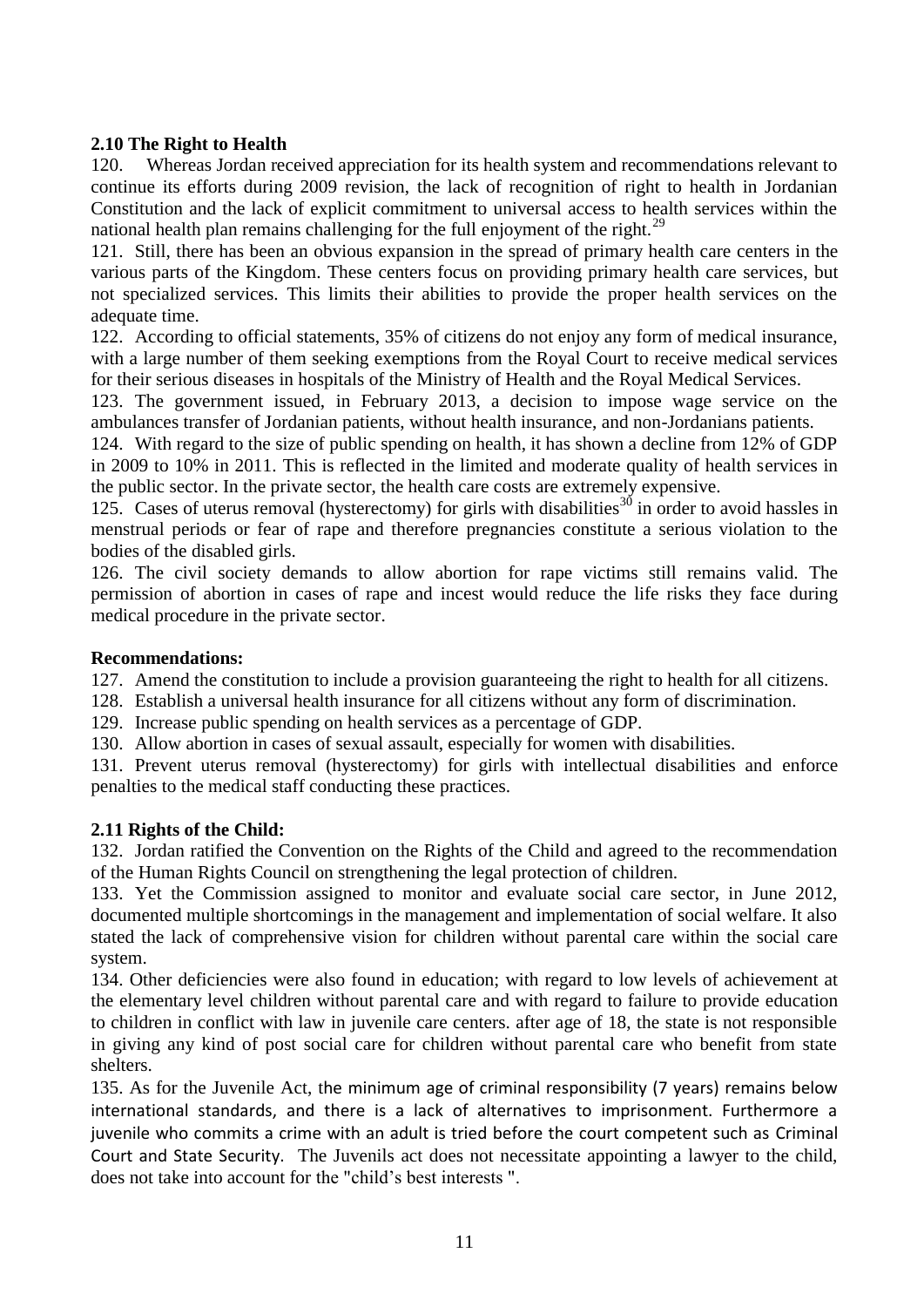# **2.10 The Right to Health**

120. Whereas Jordan received appreciation for its health system and recommendations relevant to continue its efforts during 2009 revision, the lack of recognition of right to health in Jordanian Constitution and the lack of explicit commitment to universal access to health services within the national health plan remains challenging for the full enjoyment of the right.<sup>29</sup>

121. Still, there has been an obvious expansion in the spread of primary health care centers in the various parts of the Kingdom. These centers focus on providing primary health care services, but not specialized services. This limits their abilities to provide the proper health services on the adequate time.

122. According to official statements, 35% of citizens do not enjoy any form of medical insurance, with a large number of them seeking exemptions from the Royal Court to receive medical services for their serious diseases in hospitals of the Ministry of Health and the Royal Medical Services.

123. The government issued, in February 2013, a decision to impose wage service on the ambulances transfer of Jordanian patients, without health insurance, and non-Jordanians patients.

124. With regard to the size of public spending on health, it has shown a decline from 12% of GDP in 2009 to 10% in 2011. This is reflected in the limited and moderate quality of health services in the public sector. In the private sector, the health care costs are extremely expensive.

125. Cases of uterus removal (hysterectomy) for girls with disabilities<sup>30</sup> in order to avoid hassles in menstrual periods or fear of rape and therefore pregnancies constitute a serious violation to the bodies of the disabled girls.

126. The civil society demands to allow abortion for rape victims still remains valid. The permission of abortion in cases of rape and incest would reduce the life risks they face during medical procedure in the private sector.

### **Recommendations:**

127. Amend the constitution to include a provision guaranteeing the right to health for all citizens.

- 128. Establish a universal health insurance for all citizens without any form of discrimination.
- 129. Increase public spending on health services as a percentage of GDP.
- 130. Allow abortion in cases of sexual assault, especially for women with disabilities.

131. Prevent uterus removal (hysterectomy) for girls with intellectual disabilities and enforce penalties to the medical staff conducting these practices.

# **2.11 Rights of the Child:**

132. Jordan ratified the Convention on the Rights of the Child and agreed to the recommendation of the Human Rights Council on strengthening the legal protection of children.

133. Yet the Commission assigned to monitor and evaluate social care sector, in June 2012, documented multiple shortcomings in the management and implementation of social welfare. It also stated the lack of comprehensive vision for children without parental care within the social care system.

134. Other deficiencies were also found in education; with regard to low levels of achievement at the elementary level children without parental care and with regard to failure to provide education to children in conflict with law in juvenile care centers. after age of 18, the state is not responsible in giving any kind of post social care for children without parental care who benefit from state shelters.

135. As for the Juvenile Act, the minimum age of criminal responsibility (7 years) remains below international standards, and there is a lack of alternatives to imprisonment. Furthermore a juvenile who commits a crime with an adult is tried before the court competent such as Criminal Court and State Security. The Juvenils act does not necessitate appointing a lawyer to the child, does not take into account for the "child's best interests ".